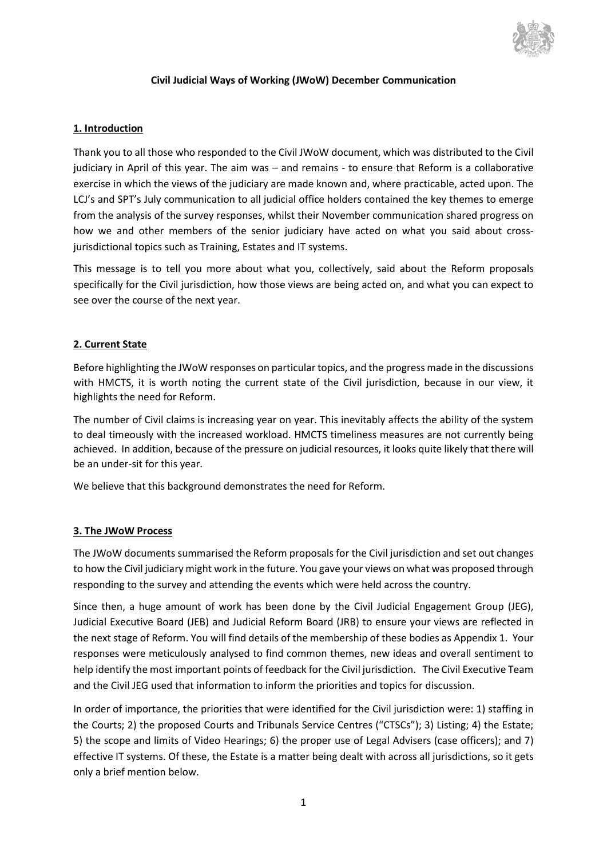

#### **Civil Judicial Ways of Working (JWoW) December Communication**

#### **1. Introduction**

Thank you to all those who responded to the Civil JWoW document, which was distributed to the Civil judiciary in April of this year. The aim was – and remains - to ensure that Reform is a collaborative exercise in which the views of the judiciary are made known and, where practicable, acted upon. The LCJ's and SPT's July communication to all judicial office holders contained the key themes to emerge from the analysis of the survey responses, whilst their November communication shared progress on how we and other members of the senior judiciary have acted on what you said about crossjurisdictional topics such as Training, Estates and IT systems.

This message is to tell you more about what you, collectively, said about the Reform proposals specifically for the Civil jurisdiction, how those views are being acted on, and what you can expect to see over the course of the next year.

#### **2. Current State**

Before highlighting the JWoW responses on particular topics, and the progress made in the discussions with HMCTS, it is worth noting the current state of the Civil jurisdiction, because in our view, it highlights the need for Reform.

The number of Civil claims is increasing year on year. This inevitably affects the ability of the system to deal timeously with the increased workload. HMCTS timeliness measures are not currently being achieved. In addition, because of the pressure on judicial resources, it looks quite likely that there will be an under-sit for this year.

We believe that this background demonstrates the need for Reform.

#### **3. The JWoW Process**

The JWoW documents summarised the Reform proposals for the Civil jurisdiction and set out changes to how the Civil judiciary might work in the future. You gave your views on what was proposed through responding to the survey and attending the events which were held across the country.

Since then, a huge amount of work has been done by the Civil Judicial Engagement Group (JEG), Judicial Executive Board (JEB) and Judicial Reform Board (JRB) to ensure your views are reflected in the next stage of Reform. You will find details of the membership of these bodies as Appendix 1. Your responses were meticulously analysed to find common themes, new ideas and overall sentiment to help identify the most important points of feedback for the Civil jurisdiction. The Civil Executive Team and the Civil JEG used that information to inform the priorities and topics for discussion.

In order of importance, the priorities that were identified for the Civil jurisdiction were: 1) staffing in the Courts; 2) the proposed Courts and Tribunals Service Centres ("CTSCs"); 3) Listing; 4) the Estate; 5) the scope and limits of Video Hearings; 6) the proper use of Legal Advisers (case officers); and 7) effective IT systems. Of these, the Estate is a matter being dealt with across all jurisdictions, so it gets only a brief mention below.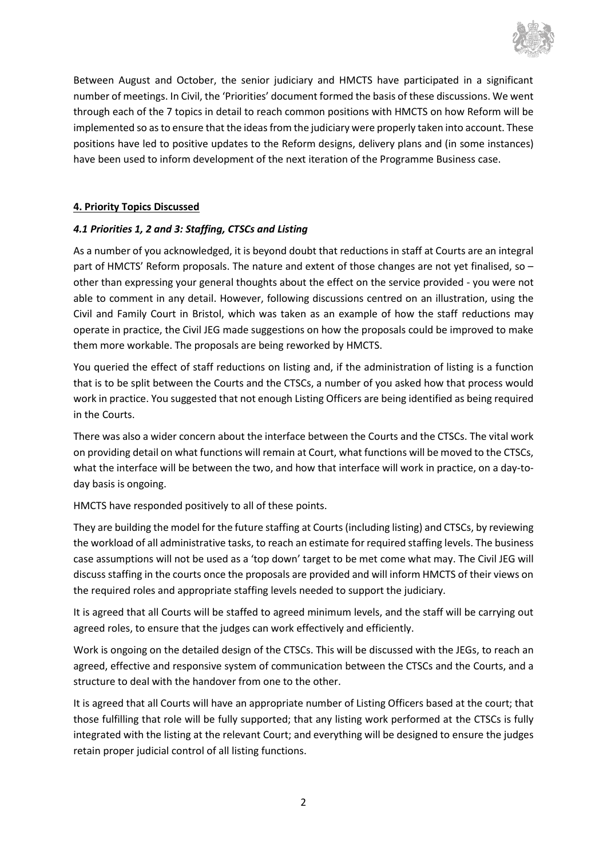

Between August and October, the senior judiciary and HMCTS have participated in a significant number of meetings. In Civil, the 'Priorities' document formed the basis of these discussions. We went through each of the 7 topics in detail to reach common positions with HMCTS on how Reform will be implemented so asto ensure that the ideas from the judiciary were properly taken into account. These positions have led to positive updates to the Reform designs, delivery plans and (in some instances) have been used to inform development of the next iteration of the Programme Business case.

### **4. Priority Topics Discussed**

### *4.1 Priorities 1, 2 and 3: Staffing, CTSCs and Listing*

As a number of you acknowledged, it is beyond doubt that reductions in staff at Courts are an integral part of HMCTS' Reform proposals. The nature and extent of those changes are not yet finalised, so – other than expressing your general thoughts about the effect on the service provided - you were not able to comment in any detail. However, following discussions centred on an illustration, using the Civil and Family Court in Bristol, which was taken as an example of how the staff reductions may operate in practice, the Civil JEG made suggestions on how the proposals could be improved to make them more workable. The proposals are being reworked by HMCTS.

You queried the effect of staff reductions on listing and, if the administration of listing is a function that is to be split between the Courts and the CTSCs, a number of you asked how that process would work in practice. You suggested that not enough Listing Officers are being identified as being required in the Courts.

There was also a wider concern about the interface between the Courts and the CTSCs. The vital work on providing detail on what functions will remain at Court, what functions will be moved to the CTSCs, what the interface will be between the two, and how that interface will work in practice, on a day-today basis is ongoing.

HMCTS have responded positively to all of these points.

They are building the model for the future staffing at Courts (including listing) and CTSCs, by reviewing the workload of all administrative tasks, to reach an estimate for required staffing levels. The business case assumptions will not be used as a 'top down' target to be met come what may. The Civil JEG will discuss staffing in the courts once the proposals are provided and will inform HMCTS of their views on the required roles and appropriate staffing levels needed to support the judiciary.

It is agreed that all Courts will be staffed to agreed minimum levels, and the staff will be carrying out agreed roles, to ensure that the judges can work effectively and efficiently.

Work is ongoing on the detailed design of the CTSCs. This will be discussed with the JEGs, to reach an agreed, effective and responsive system of communication between the CTSCs and the Courts, and a structure to deal with the handover from one to the other.

It is agreed that all Courts will have an appropriate number of Listing Officers based at the court; that those fulfilling that role will be fully supported; that any listing work performed at the CTSCs is fully integrated with the listing at the relevant Court; and everything will be designed to ensure the judges retain proper judicial control of all listing functions.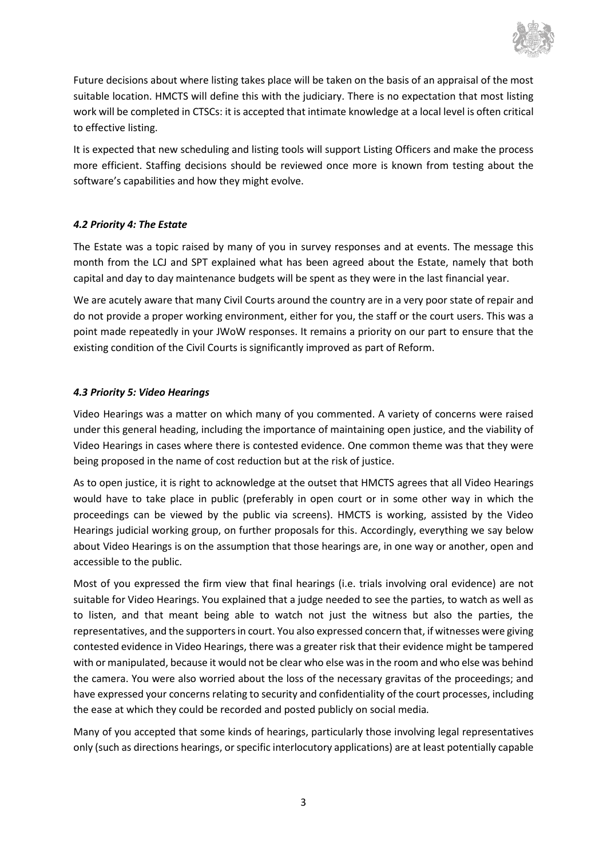

Future decisions about where listing takes place will be taken on the basis of an appraisal of the most suitable location. HMCTS will define this with the judiciary. There is no expectation that most listing work will be completed in CTSCs: it is accepted that intimate knowledge at a local level is often critical to effective listing.

It is expected that new scheduling and listing tools will support Listing Officers and make the process more efficient. Staffing decisions should be reviewed once more is known from testing about the software's capabilities and how they might evolve.

### *4.2 Priority 4: The Estate*

The Estate was a topic raised by many of you in survey responses and at events. The message this month from the LCJ and SPT explained what has been agreed about the Estate, namely that both capital and day to day maintenance budgets will be spent as they were in the last financial year.

We are acutely aware that many Civil Courts around the country are in a very poor state of repair and do not provide a proper working environment, either for you, the staff or the court users. This was a point made repeatedly in your JWoW responses. It remains a priority on our part to ensure that the existing condition of the Civil Courts is significantly improved as part of Reform.

### *4.3 Priority 5: Video Hearings*

Video Hearings was a matter on which many of you commented. A variety of concerns were raised under this general heading, including the importance of maintaining open justice, and the viability of Video Hearings in cases where there is contested evidence. One common theme was that they were being proposed in the name of cost reduction but at the risk of justice.

As to open justice, it is right to acknowledge at the outset that HMCTS agrees that all Video Hearings would have to take place in public (preferably in open court or in some other way in which the proceedings can be viewed by the public via screens). HMCTS is working, assisted by the Video Hearings judicial working group, on further proposals for this. Accordingly, everything we say below about Video Hearings is on the assumption that those hearings are, in one way or another, open and accessible to the public.

Most of you expressed the firm view that final hearings (i.e. trials involving oral evidence) are not suitable for Video Hearings. You explained that a judge needed to see the parties, to watch as well as to listen, and that meant being able to watch not just the witness but also the parties, the representatives, and the supporters in court. You also expressed concern that, if witnesses were giving contested evidence in Video Hearings, there was a greater risk that their evidence might be tampered with or manipulated, because it would not be clear who else was in the room and who else was behind the camera. You were also worried about the loss of the necessary gravitas of the proceedings; and have expressed your concerns relating to security and confidentiality of the court processes, including the ease at which they could be recorded and posted publicly on social media*.*

Many of you accepted that some kinds of hearings, particularly those involving legal representatives only (such as directions hearings, or specific interlocutory applications) are at least potentially capable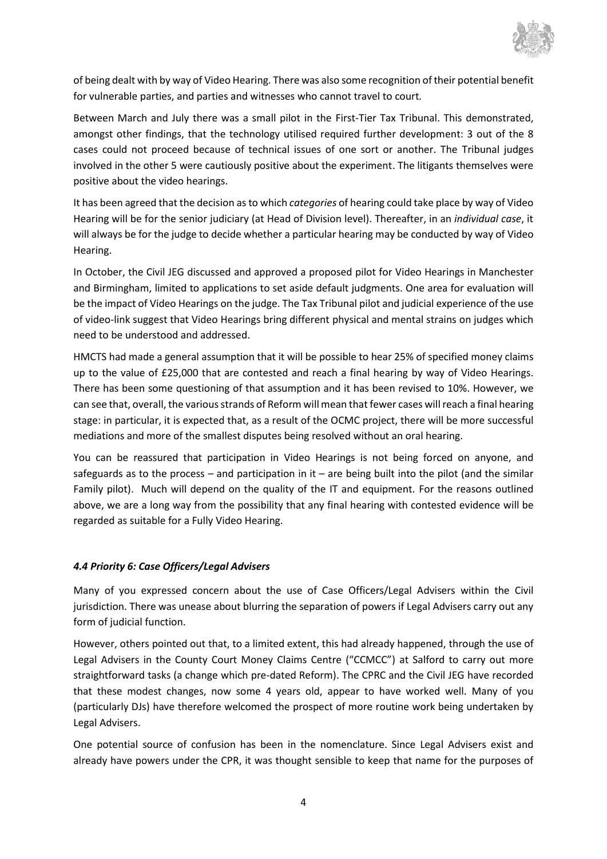

of being dealt with by way of Video Hearing. There was also some recognition of their potential benefit for vulnerable parties, and parties and witnesses who cannot travel to court*.*

Between March and July there was a small pilot in the First-Tier Tax Tribunal. This demonstrated, amongst other findings, that the technology utilised required further development: 3 out of the 8 cases could not proceed because of technical issues of one sort or another. The Tribunal judges involved in the other 5 were cautiously positive about the experiment. The litigants themselves were positive about the video hearings.

It has been agreed that the decision as to which *categories* of hearing could take place by way of Video Hearing will be for the senior judiciary (at Head of Division level). Thereafter, in an *individual case*, it will always be for the judge to decide whether a particular hearing may be conducted by way of Video Hearing.

In October, the Civil JEG discussed and approved a proposed pilot for Video Hearings in Manchester and Birmingham, limited to applications to set aside default judgments. One area for evaluation will be the impact of Video Hearings on the judge. The Tax Tribunal pilot and judicial experience of the use of video-link suggest that Video Hearings bring different physical and mental strains on judges which need to be understood and addressed.

HMCTS had made a general assumption that it will be possible to hear 25% of specified money claims up to the value of £25,000 that are contested and reach a final hearing by way of Video Hearings. There has been some questioning of that assumption and it has been revised to 10%. However, we can see that, overall, the various strands of Reform will mean that fewer cases will reach a final hearing stage: in particular, it is expected that, as a result of the OCMC project, there will be more successful mediations and more of the smallest disputes being resolved without an oral hearing.

You can be reassured that participation in Video Hearings is not being forced on anyone, and safeguards as to the process – and participation in it – are being built into the pilot (and the similar Family pilot). Much will depend on the quality of the IT and equipment. For the reasons outlined above, we are a long way from the possibility that any final hearing with contested evidence will be regarded as suitable for a Fully Video Hearing.

### *4.4 Priority 6: Case Officers/Legal Advisers*

Many of you expressed concern about the use of Case Officers/Legal Advisers within the Civil jurisdiction. There was unease about blurring the separation of powers if Legal Advisers carry out any form of judicial function.

However, others pointed out that, to a limited extent, this had already happened, through the use of Legal Advisers in the County Court Money Claims Centre ("CCMCC") at Salford to carry out more straightforward tasks (a change which pre-dated Reform). The CPRC and the Civil JEG have recorded that these modest changes, now some 4 years old, appear to have worked well. Many of you (particularly DJs) have therefore welcomed the prospect of more routine work being undertaken by Legal Advisers.

One potential source of confusion has been in the nomenclature. Since Legal Advisers exist and already have powers under the CPR, it was thought sensible to keep that name for the purposes of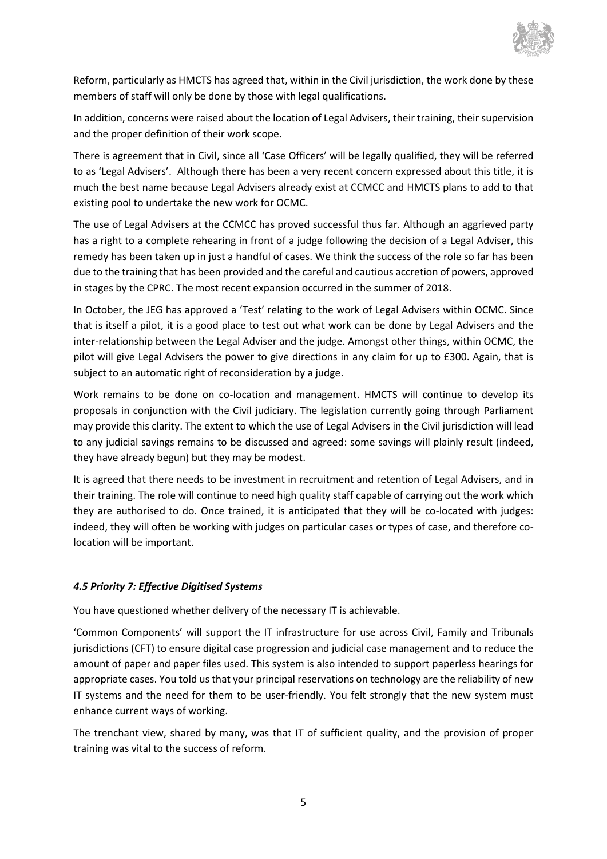

Reform, particularly as HMCTS has agreed that, within in the Civil jurisdiction, the work done by these members of staff will only be done by those with legal qualifications.

In addition, concerns were raised about the location of Legal Advisers, their training, their supervision and the proper definition of their work scope.

There is agreement that in Civil, since all 'Case Officers' will be legally qualified, they will be referred to as 'Legal Advisers'. Although there has been a very recent concern expressed about this title, it is much the best name because Legal Advisers already exist at CCMCC and HMCTS plans to add to that existing pool to undertake the new work for OCMC.

The use of Legal Advisers at the CCMCC has proved successful thus far. Although an aggrieved party has a right to a complete rehearing in front of a judge following the decision of a Legal Adviser, this remedy has been taken up in just a handful of cases. We think the success of the role so far has been due to the training that has been provided and the careful and cautious accretion of powers, approved in stages by the CPRC. The most recent expansion occurred in the summer of 2018.

In October, the JEG has approved a 'Test' relating to the work of Legal Advisers within OCMC. Since that is itself a pilot, it is a good place to test out what work can be done by Legal Advisers and the inter-relationship between the Legal Adviser and the judge. Amongst other things, within OCMC, the pilot will give Legal Advisers the power to give directions in any claim for up to £300. Again, that is subject to an automatic right of reconsideration by a judge.

Work remains to be done on co-location and management. HMCTS will continue to develop its proposals in conjunction with the Civil judiciary. The legislation currently going through Parliament may provide this clarity. The extent to which the use of Legal Advisers in the Civil jurisdiction will lead to any judicial savings remains to be discussed and agreed: some savings will plainly result (indeed, they have already begun) but they may be modest.

It is agreed that there needs to be investment in recruitment and retention of Legal Advisers, and in their training. The role will continue to need high quality staff capable of carrying out the work which they are authorised to do. Once trained, it is anticipated that they will be co-located with judges: indeed, they will often be working with judges on particular cases or types of case, and therefore colocation will be important.

### *4.5 Priority 7: Effective Digitised Systems*

You have questioned whether delivery of the necessary IT is achievable.

'Common Components' will support the IT infrastructure for use across Civil, Family and Tribunals jurisdictions (CFT) to ensure digital case progression and judicial case management and to reduce the amount of paper and paper files used. This system is also intended to support paperless hearings for appropriate cases. You told us that your principal reservations on technology are the reliability of new IT systems and the need for them to be user-friendly. You felt strongly that the new system must enhance current ways of working.

The trenchant view, shared by many, was that IT of sufficient quality, and the provision of proper training was vital to the success of reform.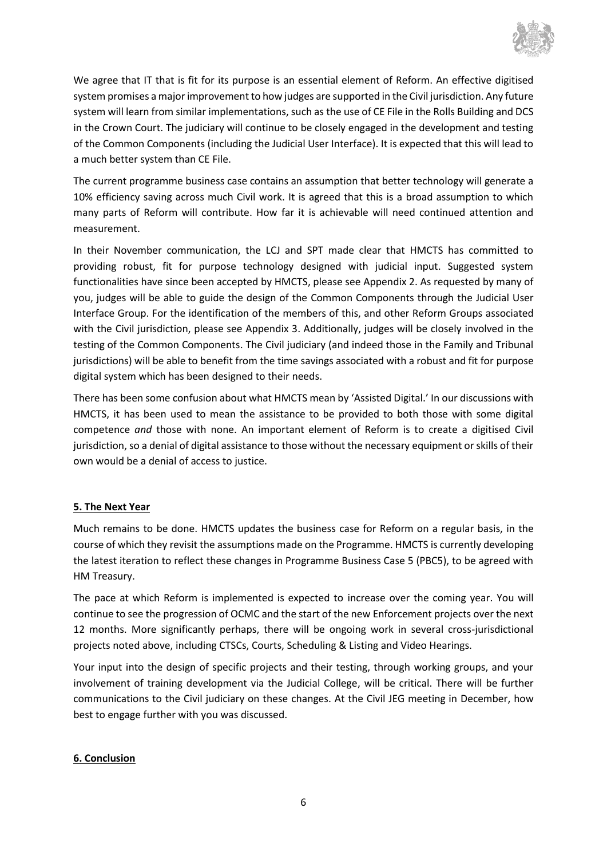

We agree that IT that is fit for its purpose is an essential element of Reform. An effective digitised system promises a major improvement to how judges are supported in the Civil jurisdiction. Any future system will learn from similar implementations, such as the use of CE File in the Rolls Building and DCS in the Crown Court. The judiciary will continue to be closely engaged in the development and testing of the Common Components (including the Judicial User Interface). It is expected that this will lead to a much better system than CE File.

The current programme business case contains an assumption that better technology will generate a 10% efficiency saving across much Civil work. It is agreed that this is a broad assumption to which many parts of Reform will contribute. How far it is achievable will need continued attention and measurement.

In their November communication, the LCJ and SPT made clear that HMCTS has committed to providing robust, fit for purpose technology designed with judicial input. Suggested system functionalities have since been accepted by HMCTS, please see Appendix 2. As requested by many of you, judges will be able to guide the design of the Common Components through the Judicial User Interface Group. For the identification of the members of this, and other Reform Groups associated with the Civil jurisdiction, please see Appendix 3. Additionally, judges will be closely involved in the testing of the Common Components. The Civil judiciary (and indeed those in the Family and Tribunal jurisdictions) will be able to benefit from the time savings associated with a robust and fit for purpose digital system which has been designed to their needs.

There has been some confusion about what HMCTS mean by 'Assisted Digital.' In our discussions with HMCTS, it has been used to mean the assistance to be provided to both those with some digital competence *and* those with none. An important element of Reform is to create a digitised Civil jurisdiction, so a denial of digital assistance to those without the necessary equipment or skills of their own would be a denial of access to justice.

### **5. The Next Year**

Much remains to be done. HMCTS updates the business case for Reform on a regular basis, in the course of which they revisit the assumptions made on the Programme. HMCTS is currently developing the latest iteration to reflect these changes in Programme Business Case 5 (PBC5), to be agreed with HM Treasury.

The pace at which Reform is implemented is expected to increase over the coming year. You will continue to see the progression of OCMC and the start of the new Enforcement projects over the next 12 months. More significantly perhaps, there will be ongoing work in several cross-jurisdictional projects noted above, including CTSCs, Courts, Scheduling & Listing and Video Hearings.

Your input into the design of specific projects and their testing, through working groups, and your involvement of training development via the Judicial College, will be critical. There will be further communications to the Civil judiciary on these changes. At the Civil JEG meeting in December, how best to engage further with you was discussed.

### **6. Conclusion**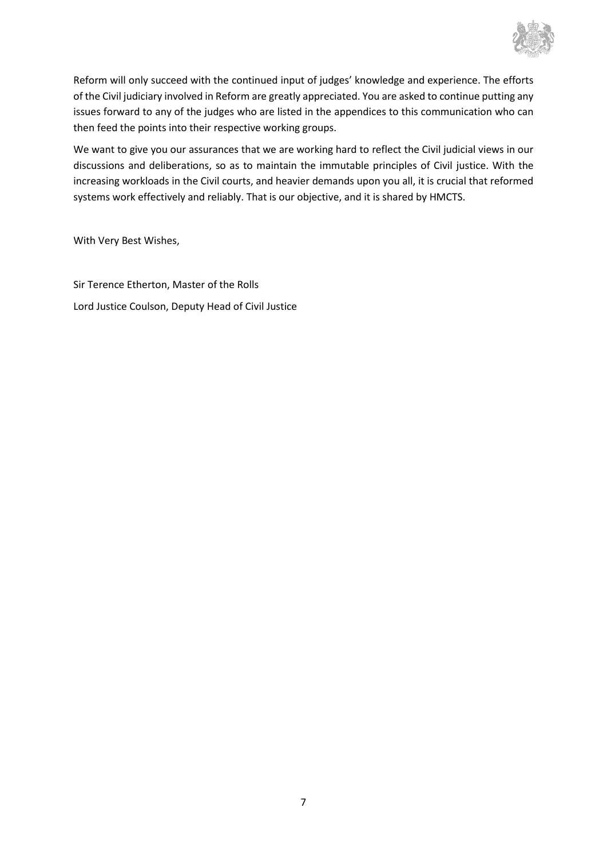

Reform will only succeed with the continued input of judges' knowledge and experience. The efforts of the Civil judiciary involved in Reform are greatly appreciated. You are asked to continue putting any issues forward to any of the judges who are listed in the appendices to this communication who can then feed the points into their respective working groups.

We want to give you our assurances that we are working hard to reflect the Civil judicial views in our discussions and deliberations, so as to maintain the immutable principles of Civil justice. With the increasing workloads in the Civil courts, and heavier demands upon you all, it is crucial that reformed systems work effectively and reliably. That is our objective, and it is shared by HMCTS.

With Very Best Wishes,

Sir Terence Etherton, Master of the Rolls Lord Justice Coulson, Deputy Head of Civil Justice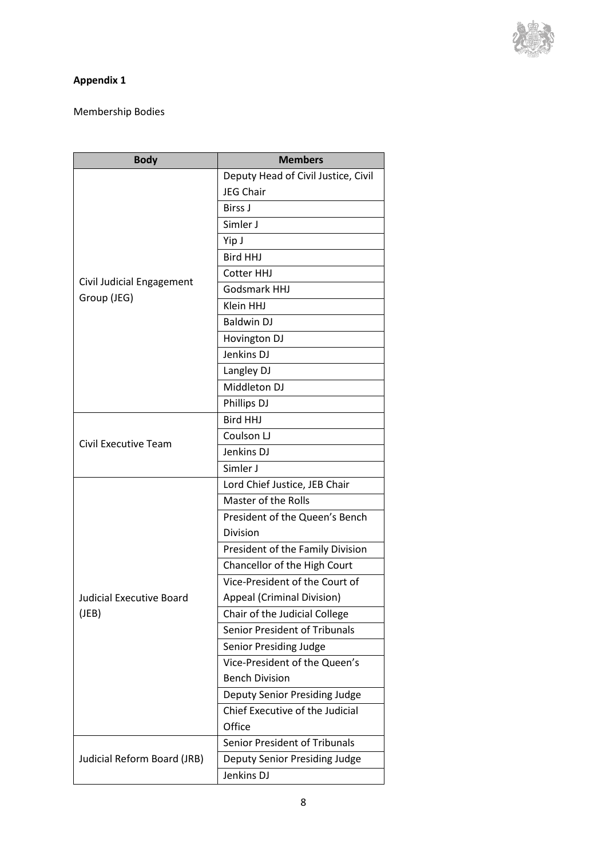

# **Appendix 1**

# Membership Bodies

| <b>Body</b>                              | <b>Members</b>                      |
|------------------------------------------|-------------------------------------|
| Civil Judicial Engagement<br>Group (JEG) | Deputy Head of Civil Justice, Civil |
|                                          | <b>JEG Chair</b>                    |
|                                          | <b>Birss J</b>                      |
|                                          | Simler J                            |
|                                          | Yip J                               |
|                                          | <b>Bird HHJ</b>                     |
|                                          | Cotter HHJ                          |
|                                          | Godsmark HHJ                        |
|                                          | Klein HHJ                           |
|                                          | <b>Baldwin DJ</b>                   |
|                                          | Hovington DJ                        |
|                                          | Jenkins DJ                          |
|                                          | Langley DJ                          |
|                                          | Middleton DJ                        |
|                                          | Phillips DJ                         |
|                                          | <b>Bird HHJ</b>                     |
|                                          | Coulson LJ                          |
| Civil Executive Team                     | Jenkins DJ                          |
|                                          | Simler J                            |
|                                          | Lord Chief Justice, JEB Chair       |
|                                          | Master of the Rolls                 |
|                                          | President of the Queen's Bench      |
| <b>Judicial Executive Board</b><br>(JEB) | <b>Division</b>                     |
|                                          | President of the Family Division    |
|                                          | Chancellor of the High Court        |
|                                          | Vice-President of the Court of      |
|                                          | Appeal (Criminal Division)          |
|                                          | Chair of the Judicial College       |
|                                          | Senior President of Tribunals       |
|                                          | Senior Presiding Judge              |
|                                          | Vice-President of the Queen's       |
|                                          | <b>Bench Division</b>               |
|                                          | Deputy Senior Presiding Judge       |
|                                          | Chief Executive of the Judicial     |
|                                          | Office                              |
| Judicial Reform Board (JRB)              | Senior President of Tribunals       |
|                                          | Deputy Senior Presiding Judge       |
|                                          | Jenkins DJ                          |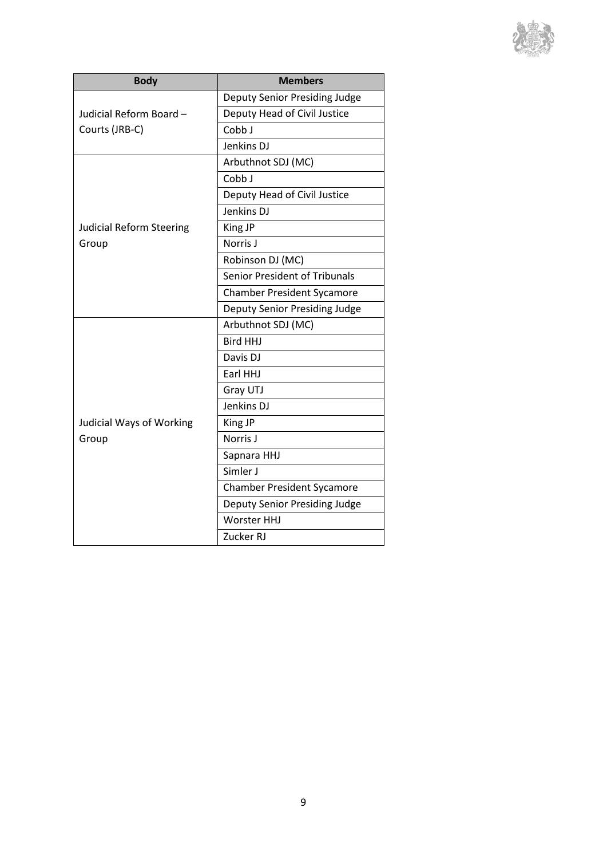

| <b>Body</b>                              | <b>Members</b>                    |
|------------------------------------------|-----------------------------------|
| Judicial Reform Board-<br>Courts (JRB-C) | Deputy Senior Presiding Judge     |
|                                          | Deputy Head of Civil Justice      |
|                                          | Cobb J                            |
|                                          | Jenkins DJ                        |
| <b>Judicial Reform Steering</b><br>Group | Arbuthnot SDJ (MC)                |
|                                          | Cobb J                            |
|                                          | Deputy Head of Civil Justice      |
|                                          | Jenkins DJ                        |
|                                          | King JP                           |
|                                          | Norris J                          |
|                                          | Robinson DJ (MC)                  |
|                                          | Senior President of Tribunals     |
|                                          | <b>Chamber President Sycamore</b> |
|                                          | Deputy Senior Presiding Judge     |
| <b>Judicial Ways of Working</b><br>Group | Arbuthnot SDJ (MC)                |
|                                          | <b>Bird HHJ</b>                   |
|                                          | Davis DJ                          |
|                                          | Earl HHJ                          |
|                                          | Gray UTJ                          |
|                                          | Jenkins DJ                        |
|                                          | King JP                           |
|                                          | Norris J                          |
|                                          | Sapnara HHJ                       |
|                                          | Simler J                          |
|                                          | <b>Chamber President Sycamore</b> |
|                                          | Deputy Senior Presiding Judge     |
|                                          | <b>Worster HHJ</b>                |
|                                          | Zucker RJ                         |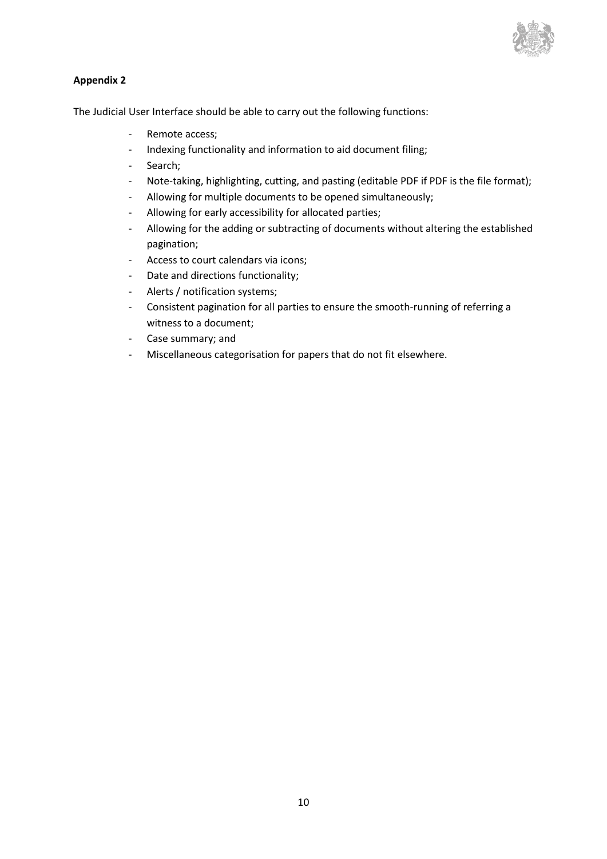

### **Appendix 2**

The Judicial User Interface should be able to carry out the following functions:

- Remote access;
- Indexing functionality and information to aid document filing;
- Search;
- Note-taking, highlighting, cutting, and pasting (editable PDF if PDF is the file format);
- Allowing for multiple documents to be opened simultaneously;
- Allowing for early accessibility for allocated parties;
- Allowing for the adding or subtracting of documents without altering the established pagination;
- Access to court calendars via icons;
- Date and directions functionality;
- Alerts / notification systems;
- Consistent pagination for all parties to ensure the smooth-running of referring a witness to a document;
- Case summary; and
- Miscellaneous categorisation for papers that do not fit elsewhere.